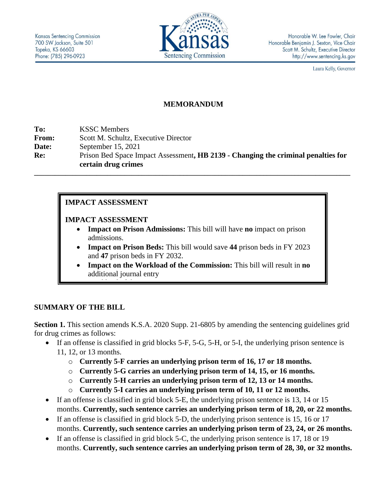

Laura Kelly, Governor

## **MEMORANDUM**

| To:   | <b>KSSC</b> Members                                                                                      |
|-------|----------------------------------------------------------------------------------------------------------|
| From: | Scott M. Schultz, Executive Director                                                                     |
| Date: | September $15, 2021$                                                                                     |
| Re:   | Prison Bed Space Impact Assessment, HB 2139 - Changing the criminal penalties for<br>certain drug crimes |
|       |                                                                                                          |

### **IMPACT ASSESSMENT**

### **IMPACT ASSESSMENT**

workload of the Commission.

- **Impact on Prison Admissions:** This bill will have **no** impact on prison admissions.
- **Impact on Prison Beds:** This bill would save **44** prison beds in FY 2023 and **47** prison beds in FY 2032.
- **Impact on the Workload of the Commission:** This bill will result in **no** additional journal entry

### **SUMMARY OF THE BILL**

**Section 1.** This section amends K.S.A. 2020 Supp. 21-6805 by amending the sentencing guidelines grid for drug crimes as follows:

- If an offense is classified in grid blocks 5-F, 5-G, 5-H, or 5-I, the underlying prison sentence is 11, 12, or 13 months.
	- o **Currently 5-F carries an underlying prison term of 16, 17 or 18 months.**
	- o **Currently 5-G carries an underlying prison term of 14, 15, or 16 months.**
	- o **Currently 5-H carries an underlying prison term of 12, 13 or 14 months.**
	- o **Currently 5-I carries an underlying prison term of 10, 11 or 12 months.**
- If an offense is classified in grid block 5-E, the underlying prison sentence is 13, 14 or 15 months. **Currently, such sentence carries an underlying prison term of 18, 20, or 22 months.**
- If an offense is classified in grid block 5-D, the underlying prison sentence is 15, 16 or 17 months. **Currently, such sentence carries an underlying prison term of 23, 24, or 26 months.**
- If an offense is classified in grid block 5-C, the underlying prison sentence is 17, 18 or 19 months. **Currently, such sentence carries an underlying prison term of 28, 30, or 32 months.**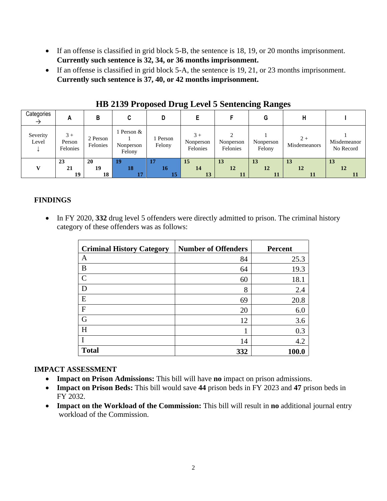- If an offense is classified in grid block 5-B, the sentence is 18, 19, or 20 months imprisonment. **Currently such sentence is 32, 34, or 36 months imprisonment.**
- If an offense is classified in grid block 5-A, the sentence is 19, 21, or 23 months imprisonment. **Currently such sentence is 37, 40, or 42 months imprisonment.**

|                   |                            |                      |                                 | ັ                  |                               | ັ<br>ັ                |                     |                      |                          |
|-------------------|----------------------------|----------------------|---------------------------------|--------------------|-------------------------------|-----------------------|---------------------|----------------------|--------------------------|
| Categories        | A                          | В                    |                                 |                    |                               |                       |                     |                      |                          |
| Severity<br>Level | $3+$<br>Person<br>Felonies | 2 Person<br>Felonies | Person &<br>Nonperson<br>Felony | l Person<br>Felony | $3+$<br>Nonperson<br>Felonies | Nonperson<br>Felonies | Nonperson<br>Felony | $2+$<br>Misdemeanors | Misdemeanor<br>No Record |
|                   | 23                         | 20                   | 19                              | 17                 | <b>15</b>                     | <b>13</b>             | 13                  | 13                   | 13                       |
|                   | 21                         | 19                   | 18                              | 16                 | 14                            | 12                    | 12                  | 12                   | 12                       |
|                   | 19                         | 18                   | 17                              | 15                 | 13                            | 11                    | 11                  |                      |                          |

# **HB 2139 Proposed Drug Level 5 Sentencing Ranges**

# **FINDINGS**

• In FY 2020, 332 drug level 5 offenders were directly admitted to prison. The criminal history category of these offenders was as follows:

| <b>Criminal History Category</b> | <b>Number of Offenders</b> | <b>Percent</b> |
|----------------------------------|----------------------------|----------------|
| A                                | 84                         | 25.3           |
| B                                | 64                         | 19.3           |
| $\mathcal{C}$                    | 60                         | 18.1           |
| D                                | 8                          | 2.4            |
| E                                | 69                         | 20.8           |
| $\mathbf F$                      | 20                         | 6.0            |
| G                                | 12                         | 3.6            |
| H                                |                            | 0.3            |
|                                  | 14                         | 4.2            |
| <b>Total</b>                     | 332                        | 100.0          |

### **IMPACT ASSESSMENT**

- **Impact on Prison Admissions:** This bill will have **no** impact on prison admissions.
- **Impact on Prison Beds:** This bill would save **44** prison beds in FY 2023 and **47** prison beds in FY 2032.
- **Impact on the Workload of the Commission:** This bill will result in **no** additional journal entry workload of the Commission.